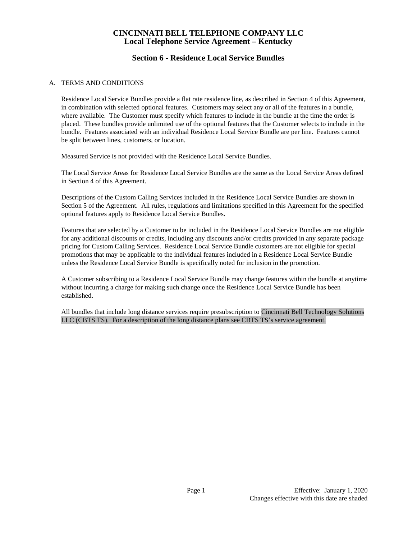## **Section 6 - Residence Local Service Bundles**

### A. TERMS AND CONDITIONS

Residence Local Service Bundles provide a flat rate residence line, as described in Section 4 of this Agreement, in combination with selected optional features. Customers may select any or all of the features in a bundle, where available. The Customer must specify which features to include in the bundle at the time the order is placed. These bundles provide unlimited use of the optional features that the Customer selects to include in the bundle. Features associated with an individual Residence Local Service Bundle are per line. Features cannot be split between lines, customers, or location.

Measured Service is not provided with the Residence Local Service Bundles.

The Local Service Areas for Residence Local Service Bundles are the same as the Local Service Areas defined in Section 4 of this Agreement.

Descriptions of the Custom Calling Services included in the Residence Local Service Bundles are shown in Section 5 of the Agreement. All rules, regulations and limitations specified in this Agreement for the specified optional features apply to Residence Local Service Bundles.

Features that are selected by a Customer to be included in the Residence Local Service Bundles are not eligible for any additional discounts or credits, including any discounts and/or credits provided in any separate package pricing for Custom Calling Services. Residence Local Service Bundle customers are not eligible for special promotions that may be applicable to the individual features included in a Residence Local Service Bundle unless the Residence Local Service Bundle is specifically noted for inclusion in the promotion.

A Customer subscribing to a Residence Local Service Bundle may change features within the bundle at anytime without incurring a charge for making such change once the Residence Local Service Bundle has been established.

All bundles that include long distance services require presubscription to Cincinnati Bell Technology Solutions LLC (CBTS TS). For a description of the long distance plans see CBTS TS's service agreement.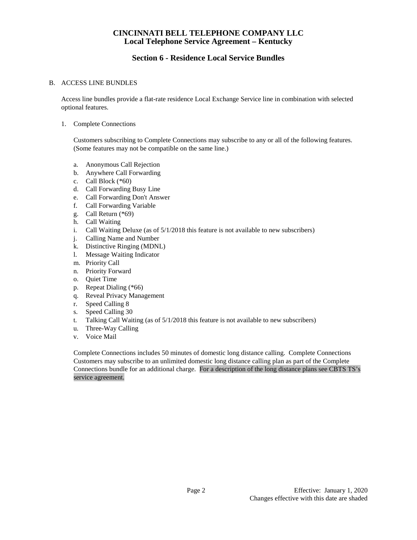# **Section 6 - Residence Local Service Bundles**

### B. ACCESS LINE BUNDLES

Access line bundles provide a flat-rate residence Local Exchange Service line in combination with selected optional features.

#### 1. Complete Connections

Customers subscribing to Complete Connections may subscribe to any or all of the following features. (Some features may not be compatible on the same line.)

- a. Anonymous Call Rejection
- b. Anywhere Call Forwarding
- c. Call Block (\*60)
- d. Call Forwarding Busy Line
- e. Call Forwarding Don't Answer
- f. Call Forwarding Variable
- g. Call Return (\*69)
- h. Call Waiting
- i. Call Waiting Deluxe (as of  $5/1/2018$  this feature is not available to new subscribers)
- j. Calling Name and Number
- k. Distinctive Ringing (MDNL)
- l. Message Waiting Indicator
- m. Priority Call
- n. Priority Forward
- o. Quiet Time
- p. Repeat Dialing (\*66)
- q. Reveal Privacy Management
- r. Speed Calling 8
- s. Speed Calling 30<br>t. Talking Call Wai
- Talking Call Waiting (as of  $5/1/2018$  this feature is not available to new subscribers)
- u. Three-Way Calling
- v. Voice Mail

Complete Connections includes 50 minutes of domestic long distance calling. Complete Connections Customers may subscribe to an unlimited domestic long distance calling plan as part of the Complete Connections bundle for an additional charge. For a description of the long distance plans see CBTS TS's service agreement.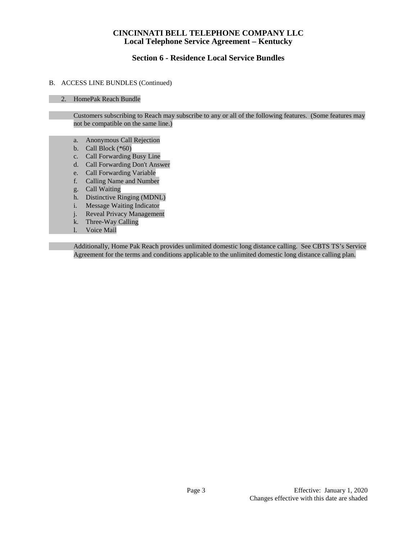# **Section 6 - Residence Local Service Bundles**

### B. ACCESS LINE BUNDLES (Continued)

### 2. HomePak Reach Bundle

Customers subscribing to Reach may subscribe to any or all of the following features. (Some features may not be compatible on the same line.)

- a. Anonymous Call Rejection
- b. Call Block (\*60)
- c. Call Forwarding Busy Line
- d. Call Forwarding Don't Answer
- e. Call Forwarding Variable
- f. Calling Name and Number
- g. Call Waiting
- h. Distinctive Ringing (MDNL)
- i. Message Waiting Indicator
- j. Reveal Privacy Management
- k. Three-Way Calling
- l. Voice Mail

Additionally, Home Pak Reach provides unlimited domestic long distance calling. See CBTS TS's Service Agreement for the terms and conditions applicable to the unlimited domestic long distance calling plan.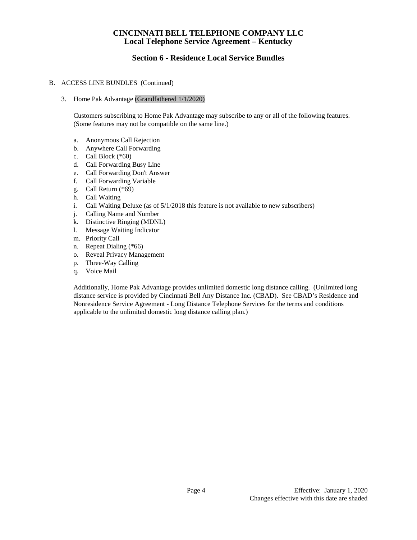# **Section 6 - Residence Local Service Bundles**

### B. ACCESS LINE BUNDLES (Continued)

3. Home Pak Advantage (Grandfathered 1/1/2020)

Customers subscribing to Home Pak Advantage may subscribe to any or all of the following features. (Some features may not be compatible on the same line.)

- a. Anonymous Call Rejection
- b. Anywhere Call Forwarding
- c. Call Block (\*60)
- d. Call Forwarding Busy Line
- e. Call Forwarding Don't Answer
- f. Call Forwarding Variable
- g. Call Return (\*69)
- h. Call Waiting
- i. Call Waiting Deluxe (as of 5/1/2018 this feature is not available to new subscribers)
- j. Calling Name and Number
- k. Distinctive Ringing (MDNL)<br>1. Message Waiting Indicator
- l. Message Waiting Indicator
- m. Priority Call
- n. Repeat Dialing (\*66)
- o. Reveal Privacy Management
- p. Three-Way Calling
- q. Voice Mail

Additionally, Home Pak Advantage provides unlimited domestic long distance calling. (Unlimited long distance service is provided by Cincinnati Bell Any Distance Inc. (CBAD). See CBAD's Residence and Nonresidence Service Agreement - Long Distance Telephone Services for the terms and conditions applicable to the unlimited domestic long distance calling plan.)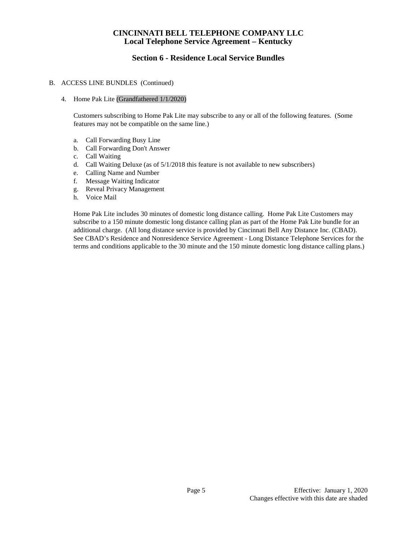# **Section 6 - Residence Local Service Bundles**

### B. ACCESS LINE BUNDLES (Continued)

#### 4. Home Pak Lite (Grandfathered 1/1/2020)

Customers subscribing to Home Pak Lite may subscribe to any or all of the following features. (Some features may not be compatible on the same line.)

- a. Call Forwarding Busy Line
- b. Call Forwarding Don't Answer
- c. Call Waiting
- d. Call Waiting Deluxe (as of 5/1/2018 this feature is not available to new subscribers)
- e. Calling Name and Number
- f. Message Waiting Indicator
- g. Reveal Privacy Management
- h. Voice Mail

Home Pak Lite includes 30 minutes of domestic long distance calling. Home Pak Lite Customers may subscribe to a 150 minute domestic long distance calling plan as part of the Home Pak Lite bundle for an additional charge. (All long distance service is provided by Cincinnati Bell Any Distance Inc. (CBAD). See CBAD's Residence and Nonresidence Service Agreement - Long Distance Telephone Services for the terms and conditions applicable to the 30 minute and the 150 minute domestic long distance calling plans.)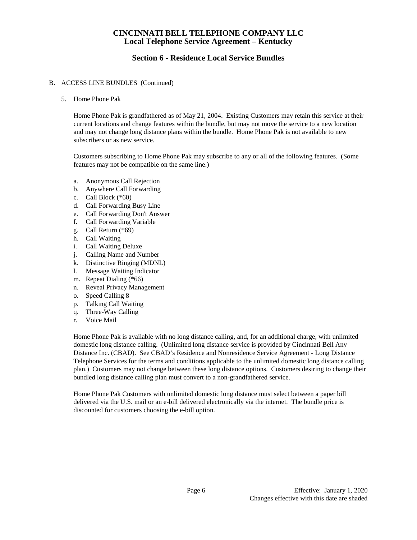# **Section 6 - Residence Local Service Bundles**

### B. ACCESS LINE BUNDLES (Continued)

5. Home Phone Pak

Home Phone Pak is grandfathered as of May 21, 2004. Existing Customers may retain this service at their current locations and change features within the bundle, but may not move the service to a new location and may not change long distance plans within the bundle. Home Phone Pak is not available to new subscribers or as new service.

Customers subscribing to Home Phone Pak may subscribe to any or all of the following features. (Some features may not be compatible on the same line.)

- a. Anonymous Call Rejection
- b. Anywhere Call Forwarding
- c. Call Block (\*60)
- d. Call Forwarding Busy Line
- e. Call Forwarding Don't Answer
- f. Call Forwarding Variable
- g. Call Return (\*69)
- h. Call Waiting
- i. Call Waiting Deluxe
- j. Calling Name and Number
- k. Distinctive Ringing (MDNL)
- l. Message Waiting Indicator
- m. Repeat Dialing (\*66)
- n. Reveal Privacy Management
- o. Speed Calling 8
- p. Talking Call Waiting
- q. Three-Way Calling
- r. Voice Mail

Home Phone Pak is available with no long distance calling, and, for an additional charge, with unlimited domestic long distance calling. (Unlimited long distance service is provided by Cincinnati Bell Any Distance Inc. (CBAD). See CBAD's Residence and Nonresidence Service Agreement - Long Distance Telephone Services for the terms and conditions applicable to the unlimited domestic long distance calling plan.) Customers may not change between these long distance options. Customers desiring to change their bundled long distance calling plan must convert to a non-grandfathered service.

Home Phone Pak Customers with unlimited domestic long distance must select between a paper bill delivered via the U.S. mail or an e-bill delivered electronically via the internet. The bundle price is discounted for customers choosing the e-bill option.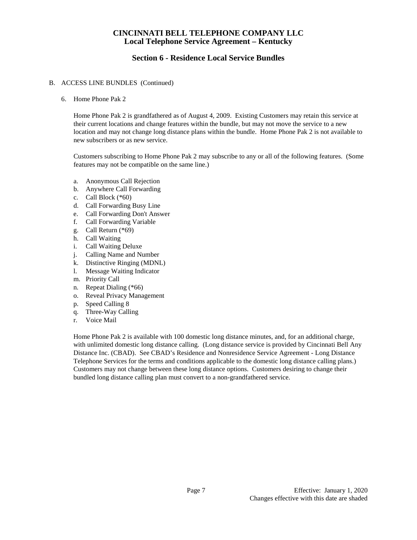# **Section 6 - Residence Local Service Bundles**

### B. ACCESS LINE BUNDLES (Continued)

6. Home Phone Pak 2

Home Phone Pak 2 is grandfathered as of August 4, 2009. Existing Customers may retain this service at their current locations and change features within the bundle, but may not move the service to a new location and may not change long distance plans within the bundle. Home Phone Pak 2 is not available to new subscribers or as new service.

Customers subscribing to Home Phone Pak 2 may subscribe to any or all of the following features. (Some features may not be compatible on the same line.)

- a. Anonymous Call Rejection
- b. Anywhere Call Forwarding
- c. Call Block (\*60)
- d. Call Forwarding Busy Line
- e. Call Forwarding Don't Answer
- f. Call Forwarding Variable
- g. Call Return (\*69)
- h. Call Waiting
- i. Call Waiting Deluxe
- j. Calling Name and Number
- k. Distinctive Ringing (MDNL)
- l. Message Waiting Indicator
- m. Priority Call
- n. Repeat Dialing (\*66)
- o. Reveal Privacy Management
- p. Speed Calling 8
- q. Three-Way Calling
- r. Voice Mail

Home Phone Pak 2 is available with 100 domestic long distance minutes, and, for an additional charge, with unlimited domestic long distance calling. (Long distance service is provided by Cincinnati Bell Any Distance Inc. (CBAD). See CBAD's Residence and Nonresidence Service Agreement - Long Distance Telephone Services for the terms and conditions applicable to the domestic long distance calling plans.) Customers may not change between these long distance options. Customers desiring to change their bundled long distance calling plan must convert to a non-grandfathered service.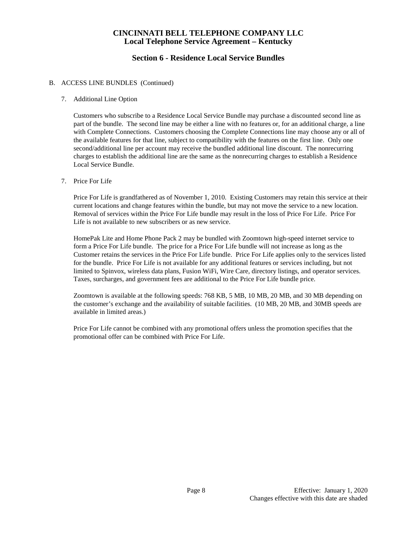# **Section 6 - Residence Local Service Bundles**

### B. ACCESS LINE BUNDLES (Continued)

### 7. Additional Line Option

Customers who subscribe to a Residence Local Service Bundle may purchase a discounted second line as part of the bundle. The second line may be either a line with no features or, for an additional charge, a line with Complete Connections. Customers choosing the Complete Connections line may choose any or all of the available features for that line, subject to compatibility with the features on the first line. Only one second/additional line per account may receive the bundled additional line discount. The nonrecurring charges to establish the additional line are the same as the nonrecurring charges to establish a Residence Local Service Bundle.

7. Price For Life

Price For Life is grandfathered as of November 1, 2010. Existing Customers may retain this service at their current locations and change features within the bundle, but may not move the service to a new location. Removal of services within the Price For Life bundle may result in the loss of Price For Life. Price For Life is not available to new subscribers or as new service.

HomePak Lite and Home Phone Pack 2 may be bundled with Zoomtown high-speed internet service to form a Price For Life bundle. The price for a Price For Life bundle will not increase as long as the Customer retains the services in the Price For Life bundle. Price For Life applies only to the services listed for the bundle. Price For Life is not available for any additional features or services including, but not limited to Spinvox, wireless data plans, Fusion WiFi, Wire Care, directory listings, and operator services. Taxes, surcharges, and government fees are additional to the Price For Life bundle price.

Zoomtown is available at the following speeds: 768 KB, 5 MB, 10 MB, 20 MB, and 30 MB depending on the customer's exchange and the availability of suitable facilities. (10 MB, 20 MB, and 30MB speeds are available in limited areas.)

Price For Life cannot be combined with any promotional offers unless the promotion specifies that the promotional offer can be combined with Price For Life.